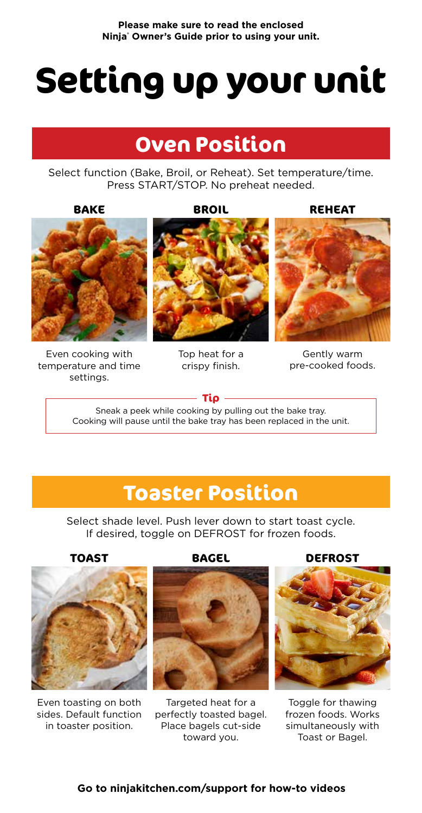# **Setting up your unit**

## **Oven Position**

Select function (Bake, Broil, or Reheat). Set temperature/time. Press START/STOP. No preheat needed.

**BAKE**

**BROIL**

**REHEAT**



Even cooking with temperature and time settings.



Top heat for a crispy finish.



Gently warm pre-cooked foods.

**Tip**

Sneak a peek while cooking by pulling out the bake tray. Cooking will pause until the bake tray has been replaced in the unit.

## **Toaster Position**

Select shade level. Push lever down to start toast cycle. If desired, toggle on DEFROST for frozen foods.

**TOAST**



Even toasting on both sides. Default function in toaster position.

**BAGEL**



Targeted heat for a perfectly toasted bagel. Place bagels cut-side toward you.

**DEFROST**



Toggle for thawing frozen foods. Works simultaneously with Toast or Bagel.

#### **Go to ninjakitchen.com/support for how-to videos**